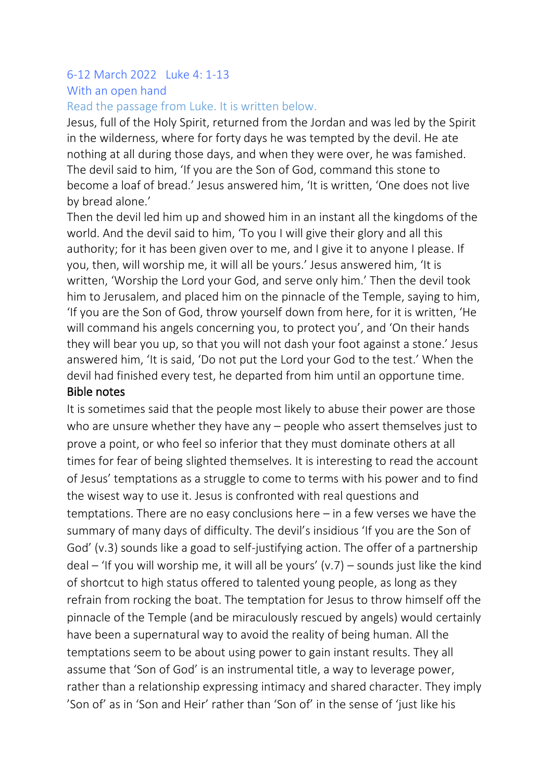# 6-12 March 2022 Luke 4: 1-13 With an open hand

#### Read the passage from Luke. It is written below.

Jesus, full of the Holy Spirit, returned from the Jordan and was led by the Spirit in the wilderness, where for forty days he was tempted by the devil. He ate nothing at all during those days, and when they were over, he was famished. The devil said to him, 'If you are the Son of God, command this stone to become a loaf of bread.' Jesus answered him, 'It is written, 'One does not live by bread alone.'

Then the devil led him up and showed him in an instant all the kingdoms of the world. And the devil said to him, 'To you I will give their glory and all this authority; for it has been given over to me, and I give it to anyone I please. If you, then, will worship me, it will all be yours.' Jesus answered him, 'It is written, 'Worship the Lord your God, and serve only him.' Then the devil took him to Jerusalem, and placed him on the pinnacle of the Temple, saying to him, 'If you are the Son of God, throw yourself down from here, for it is written, 'He will command his angels concerning you, to protect you', and 'On their hands they will bear you up, so that you will not dash your foot against a stone.' Jesus answered him, 'It is said, 'Do not put the Lord your God to the test.' When the devil had finished every test, he departed from him until an opportune time. Bible notes

It is sometimes said that the people most likely to abuse their power are those who are unsure whether they have any – people who assert themselves just to prove a point, or who feel so inferior that they must dominate others at all times for fear of being slighted themselves. It is interesting to read the account of Jesus' temptations as a struggle to come to terms with his power and to find the wisest way to use it. Jesus is confronted with real questions and temptations. There are no easy conclusions here – in a few verses we have the summary of many days of difficulty. The devil's insidious 'If you are the Son of God' (v.3) sounds like a goad to self-justifying action. The offer of a partnership deal – 'If you will worship me, it will all be yours' (v.7) – sounds just like the kind of shortcut to high status offered to talented young people, as long as they refrain from rocking the boat. The temptation for Jesus to throw himself off the pinnacle of the Temple (and be miraculously rescued by angels) would certainly have been a supernatural way to avoid the reality of being human. All the temptations seem to be about using power to gain instant results. They all assume that 'Son of God' is an instrumental title, a way to leverage power, rather than a relationship expressing intimacy and shared character. They imply 'Son of' as in 'Son and Heir' rather than 'Son of' in the sense of 'just like his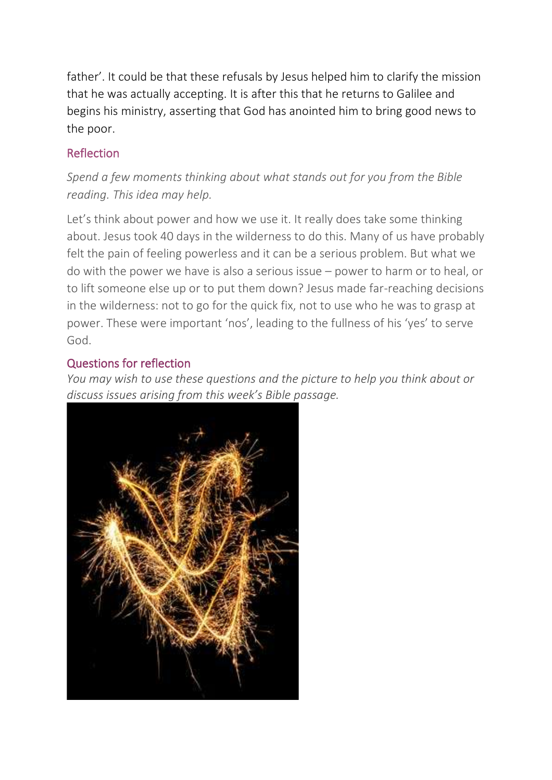father'. It could be that these refusals by Jesus helped him to clarify the mission that he was actually accepting. It is after this that he returns to Galilee and begins his ministry, asserting that God has anointed him to bring good news to the poor.

### Reflection

# *Spend a few moments thinking about what stands out for you from the Bible reading. This idea may help.*

Let's think about power and how we use it. It really does take some thinking about. Jesus took 40 days in the wilderness to do this. Many of us have probably felt the pain of feeling powerless and it can be a serious problem. But what we do with the power we have is also a serious issue – power to harm or to heal, or to lift someone else up or to put them down? Jesus made far-reaching decisions in the wilderness: not to go for the quick fix, not to use who he was to grasp at power. These were important 'nos', leading to the fullness of his 'yes' to serve God.

#### Questions for reflection

*You may wish to use these questions and the picture to help you think about or [discuss issues arising from this week's Bible p](https://www.rootsontheweb.com/media/23636/sparkler-swirl.jpg)assage.*